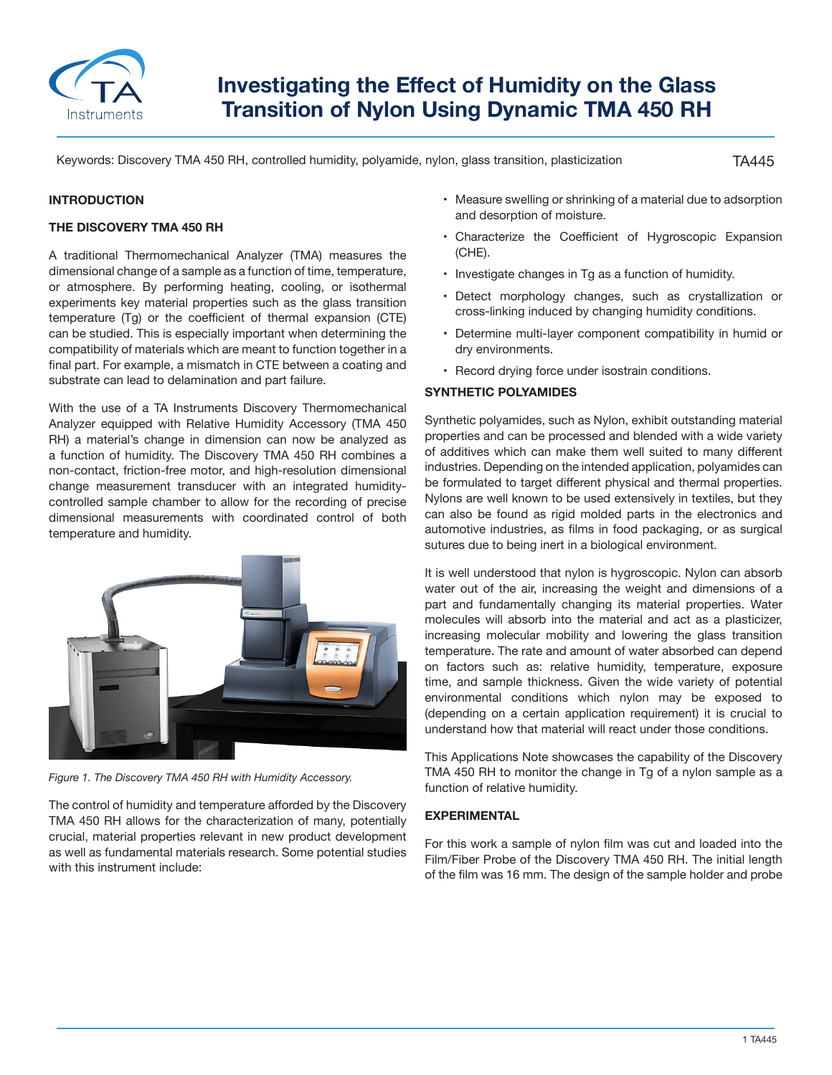

# **Investigating the Effect of Humidity on the Glass Transition of Nylon Using Dynamic TMA 450 RH**

Keywords: Discovery TMA 450 RH, controlled humidity, polyamide, nylon, glass transition, plasticization

TA445

## **INTRODUCTION**

#### **THE DISCOVERY TMA 450 RH**

A traditional Thermomechanical Analyzer (TMA) measures the dimensional change of a sample as a function of time, temperature, or atmosphere. By performing heating, cooling, or isothermal experiments key material properties such as the glass transition temperature (Tg) or the coefficient of thermal expansion (CTE) can be studied. This is especially important when determining the compatibility of materials which are meant to function together in a final part. For example, a mismatch in CTE between a coating and substrate can lead to delamination and part failure.

With the use of a TA Instruments Discovery Thermomechanical Analyzer equipped with Relative Humidity Accessory (TMA 450 RH) a material's change in dimension can now be analyzed as a function of humidity. The Discovery TMA 450 RH combines a non-contact, friction-free motor, and high-resolution dimensional change measurement transducer with an integrated humiditycontrolled sample chamber to allow for the recording of precise dimensional measurements with coordinated control of both temperature and humidity.



*Figure 1. The Discovery TMA 450 RH with Humidity Accessory.*

The control of humidity and temperature afforded by the Discovery TMA 450 RH allows for the characterization of many, potentially crucial, material properties relevant in new product development as well as fundamental materials research. Some potential studies with this instrument include:

- Measure swelling or shrinking of a material due to adsorption and desorption of moisture.
- Characterize the Coefficient of Hygroscopic Expansion (CHE).
- Investigate changes in Tg as a function of humidity.
- Detect morphology changes, such as crystallization or cross-linking induced by changing humidity conditions.
- Determine multi-layer component compatibility in humid or dry environments.
- Record drying force under isostrain conditions.

## **SYNTHETIC POLYAMIDES**

Synthetic polyamides, such as Nylon, exhibit outstanding material properties and can be processed and blended with a wide variety of additives which can make them well suited to many different industries. Depending on the intended application, polyamides can be formulated to target different physical and thermal properties. Nylons are well known to be used extensively in textiles, but they can also be found as rigid molded parts in the electronics and automotive industries, as films in food packaging, or as surgical sutures due to being inert in a biological environment.

It is well understood that nylon is hygroscopic. Nylon can absorb water out of the air, increasing the weight and dimensions of a part and fundamentally changing its material properties. Water molecules will absorb into the material and act as a plasticizer, increasing molecular mobility and lowering the glass transition temperature. The rate and amount of water absorbed can depend on factors such as: relative humidity, temperature, exposure time, and sample thickness. Given the wide variety of potential environmental conditions which nylon may be exposed to (depending on a certain application requirement) it is crucial to understand how that material will react under those conditions.

This Applications Note showcases the capability of the Discovery TMA 450 RH to monitor the change in Tg of a nylon sample as a function of relative humidity.

## **EXPERIMENTAL**

For this work a sample of nylon film was cut and loaded into the Film/Fiber Probe of the Discovery TMA 450 RH. The initial length of the film was 16 mm. The design of the sample holder and probe